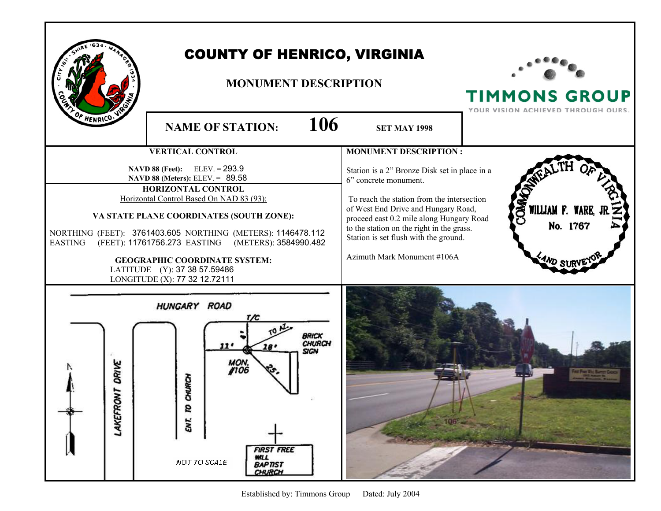| OF HENRICO.                                                                                                                                                                                                                                                                                                                                                                                                                           |                       | <b>COUNTY OF HENRICO, VIRGINIA</b><br><b>MONUMENT DESCRIPTION</b>                                                                                                                                       |                                                                                                                                                                                                                                                                                                                              | <b>TIMMONS GROUP</b><br>YOUR VISION ACHIEVED THROUGH OURS. |
|---------------------------------------------------------------------------------------------------------------------------------------------------------------------------------------------------------------------------------------------------------------------------------------------------------------------------------------------------------------------------------------------------------------------------------------|-----------------------|---------------------------------------------------------------------------------------------------------------------------------------------------------------------------------------------------------|------------------------------------------------------------------------------------------------------------------------------------------------------------------------------------------------------------------------------------------------------------------------------------------------------------------------------|------------------------------------------------------------|
|                                                                                                                                                                                                                                                                                                                                                                                                                                       |                       | 106<br><b>NAME OF STATION:</b>                                                                                                                                                                          | <b>SET MAY 1998</b>                                                                                                                                                                                                                                                                                                          |                                                            |
|                                                                                                                                                                                                                                                                                                                                                                                                                                       |                       | <b>VERTICAL CONTROL</b>                                                                                                                                                                                 | <b>MONUMENT DESCRIPTION:</b>                                                                                                                                                                                                                                                                                                 |                                                            |
| NAVD 88 (Feet): ELEV. = 293.9<br>NAVD 88 (Meters): ELEV. = 89.58<br><b>HORIZONTAL CONTROL</b><br>Horizontal Control Based On NAD 83 (93):<br>VA STATE PLANE COORDINATES (SOUTH ZONE):<br>NORTHING (FEET): 3761403.605 NORTHING (METERS): 1146478.112<br>(FEET): 11761756.273 EASTING (METERS): 3584990.482<br><b>EASTING</b><br><b>GEOGRAPHIC COORDINATE SYSTEM:</b><br>LATITUDE (Y): 37 38 57.59486<br>LONGITUDE (X): 77 32 12.72111 |                       |                                                                                                                                                                                                         | Station is a 2" Bronze Disk set in place in a<br>6" concrete monument.<br>To reach the station from the intersection<br>of West End Drive and Hungary Road,<br>proceed east 0.2 mile along Hungary Road<br>to the station on the right in the grass.<br>Station is set flush with the ground.<br>Azimuth Mark Monument #106A | OWN<br>WILLIAM F. WARE,<br>No. 1767                        |
|                                                                                                                                                                                                                                                                                                                                                                                                                                       | DRIVE<br>z<br>LAKEFRO | HUNGARY ROAD<br><b>BRICK</b><br><b>CHURCH</b><br>11'<br>18'<br>SIGN<br><b>MON.</b><br>#106<br><b>HURCH</b><br>g<br>ENT.<br><b>FIRST FREE</b><br><b>WILL</b><br>NOT TO SCALE<br><b>BAPTIST</b><br>CHURCH |                                                                                                                                                                                                                                                                                                                              |                                                            |